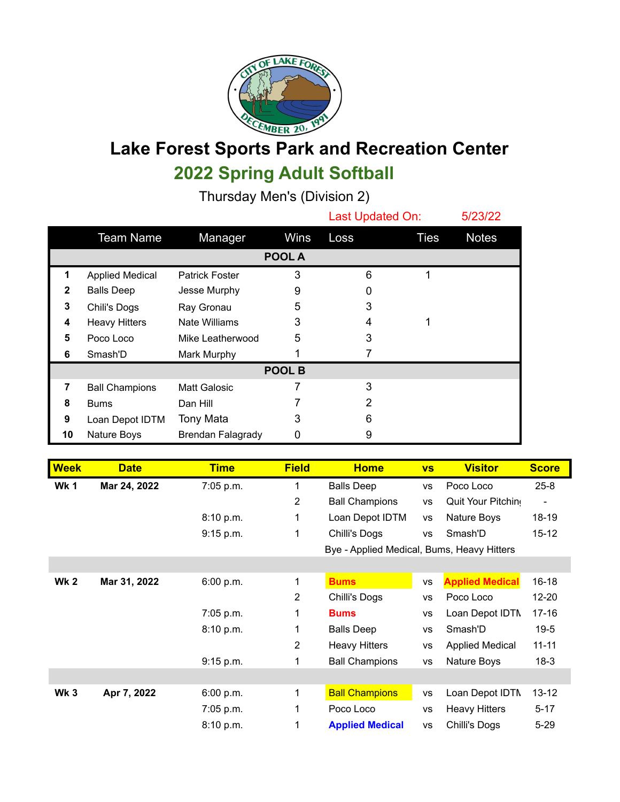

## **Lake Forest Sports Park and Recreation Center 2022 Spring Adult Softball**

Thursday Men's (Division 2)

|                |                        |                          |               | Last Updated On: |             | 5/23/22      |  |  |
|----------------|------------------------|--------------------------|---------------|------------------|-------------|--------------|--|--|
|                | <b>Team Name</b>       | Manager                  | <b>Wins</b>   | Loss             | <b>Ties</b> | <b>Notes</b> |  |  |
|                |                        |                          | <b>POOL A</b> |                  |             |              |  |  |
| 1              | <b>Applied Medical</b> | <b>Patrick Foster</b>    | 3             | 6                |             |              |  |  |
| 2              | <b>Balls Deep</b>      | Jesse Murphy             | 9             | 0                |             |              |  |  |
| 3              | Chili's Dogs           | Ray Gronau               | 5             | 3                |             |              |  |  |
| 4              | <b>Heavy Hitters</b>   | Nate Williams            | 3             | 4                |             |              |  |  |
| 5              | Poco Loco              | Mike Leatherwood         | 5             | 3                |             |              |  |  |
| 6              | Smash'D                | Mark Murphy              |               |                  |             |              |  |  |
| POOL B         |                        |                          |               |                  |             |              |  |  |
| $\overline{7}$ | <b>Ball Champions</b>  | Matt Galosic             |               | 3                |             |              |  |  |
| 8              | <b>Bums</b>            | Dan Hill                 |               | 2                |             |              |  |  |
| 9              | Loan Depot IDTM        | Tony Mata                | 3             | 6                |             |              |  |  |
| 10             | Nature Boys            | <b>Brendan Falagrady</b> | 0             | 9                |             |              |  |  |

| <b>Week</b> | <b>Date</b>  | <b>Time</b> | <b>Field</b>   | <b>Home</b>                                | <b>VS</b> | <b>Visitor</b>         | <b>Score</b> |
|-------------|--------------|-------------|----------------|--------------------------------------------|-----------|------------------------|--------------|
| <b>Wk1</b>  | Mar 24, 2022 | 7:05 p.m.   | 1              | <b>Balls Deep</b><br>VS                    |           | Poco Loco              | $25 - 8$     |
|             |              |             | $\overline{2}$ | <b>Ball Champions</b>                      | <b>VS</b> | Quit Your Pitchin      |              |
|             |              | 8:10 p.m.   | 1              | Loan Depot IDTM                            | <b>VS</b> | Nature Boys            | 18-19        |
|             |              | 9:15 p.m.   | 1              | Chilli's Dogs                              | <b>VS</b> | Smash'D                | $15 - 12$    |
|             |              |             |                | Bye - Applied Medical, Bums, Heavy Hitters |           |                        |              |
|             |              |             |                |                                            |           |                        |              |
| <b>Wk 2</b> | Mar 31, 2022 | 6:00 p.m.   | 1              | <b>Bums</b>                                | <b>VS</b> | <b>Applied Medical</b> | $16 - 18$    |
|             |              |             | $\overline{2}$ | Chilli's Dogs                              | <b>VS</b> | Poco Loco              | $12 - 20$    |
|             |              | 7:05 p.m.   | 1              | <b>Bums</b>                                | <b>VS</b> | Loan Depot IDTN        | $17 - 16$    |
|             |              | 8:10 p.m.   | 1              | <b>Balls Deep</b>                          | <b>VS</b> | Smash'D                | $19 - 5$     |
|             |              |             | $\overline{2}$ | <b>Heavy Hitters</b>                       | <b>VS</b> | <b>Applied Medical</b> | $11 - 11$    |
|             |              | 9:15 p.m.   | 1              | <b>Ball Champions</b>                      | <b>VS</b> | Nature Boys            | $18-3$       |
|             |              |             |                |                                            |           |                        |              |
| <b>Wk 3</b> | Apr 7, 2022  | 6:00 p.m.   | 1              | <b>Ball Champions</b>                      | <b>VS</b> | Loan Depot IDTN        | $13 - 12$    |
|             |              | 7:05 p.m.   | 1              | Poco Loco                                  | <b>VS</b> | <b>Heavy Hitters</b>   | $5 - 17$     |
|             |              | 8:10 p.m.   | 1              | <b>Applied Medical</b>                     | <b>VS</b> | Chilli's Dogs          | $5 - 29$     |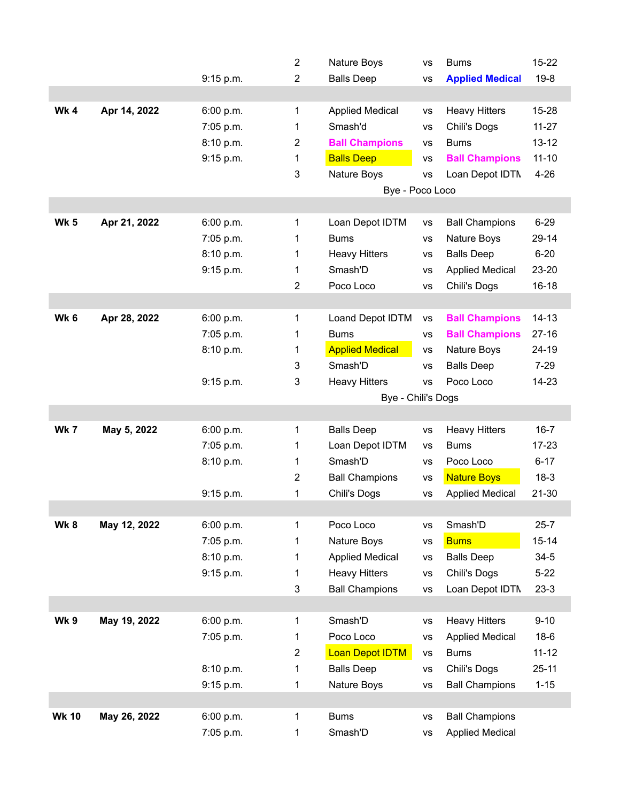|                 |              |           | $\overline{2}$ | Nature Boys            | <b>VS</b> | <b>Bums</b>            | $15 - 22$ |  |  |
|-----------------|--------------|-----------|----------------|------------------------|-----------|------------------------|-----------|--|--|
|                 |              | 9:15 p.m. | $\overline{2}$ | <b>Balls Deep</b>      | <b>VS</b> | <b>Applied Medical</b> | $19 - 8$  |  |  |
|                 |              |           |                |                        |           |                        |           |  |  |
| Wk4             | Apr 14, 2022 | 6:00 p.m. | 1              | <b>Applied Medical</b> | <b>VS</b> | <b>Heavy Hitters</b>   | 15-28     |  |  |
|                 |              | 7:05 p.m. | 1              | Smash'd                | <b>VS</b> | Chili's Dogs           | $11 - 27$ |  |  |
|                 |              | 8:10 p.m. | 2              | <b>Ball Champions</b>  | <b>VS</b> | <b>Bums</b>            | $13 - 12$ |  |  |
|                 |              | 9:15 p.m. | 1              | <b>Balls Deep</b>      | <b>VS</b> | <b>Ball Champions</b>  | $11 - 10$ |  |  |
|                 |              |           | 3              | Nature Boys            | <b>VS</b> | Loan Depot IDTN        | $4 - 26$  |  |  |
|                 |              |           |                | Bye - Poco Loco        |           |                        |           |  |  |
|                 |              |           |                |                        |           |                        |           |  |  |
| <b>Wk 5</b>     | Apr 21, 2022 | 6:00 p.m. | 1              | Loan Depot IDTM        | <b>VS</b> | <b>Ball Champions</b>  | $6 - 29$  |  |  |
|                 |              | 7:05 p.m. | 1              | <b>Bums</b>            | <b>VS</b> | Nature Boys            | 29-14     |  |  |
|                 |              | 8:10 p.m. | 1              | <b>Heavy Hitters</b>   | <b>VS</b> | <b>Balls Deep</b>      | $6 - 20$  |  |  |
|                 |              | 9:15 p.m. | 1              | Smash'D                | <b>VS</b> | <b>Applied Medical</b> | 23-20     |  |  |
|                 |              |           | 2              | Poco Loco              | <b>VS</b> | Chili's Dogs           | $16 - 18$ |  |  |
|                 |              |           |                |                        |           |                        |           |  |  |
| Wk <sub>6</sub> | Apr 28, 2022 | 6:00 p.m. | 1              | Loand Depot IDTM       | <b>VS</b> | <b>Ball Champions</b>  | $14 - 13$ |  |  |
|                 |              | 7:05 p.m. | 1              | <b>Bums</b>            | <b>VS</b> | <b>Ball Champions</b>  | $27 - 16$ |  |  |
|                 |              | 8:10 p.m. | 1              | <b>Applied Medical</b> | <b>VS</b> | Nature Boys            | 24-19     |  |  |
|                 |              |           | 3              | Smash'D                | <b>VS</b> | <b>Balls Deep</b>      | $7 - 29$  |  |  |
|                 |              | 9:15 p.m. | 3              | <b>Heavy Hitters</b>   | <b>VS</b> | Poco Loco              | 14-23     |  |  |
|                 |              |           |                | Bye - Chili's Dogs     |           |                        |           |  |  |
|                 |              |           |                |                        |           |                        |           |  |  |
| Wk 7            | May 5, 2022  | 6:00 p.m. | 1              | <b>Balls Deep</b>      | <b>VS</b> | <b>Heavy Hitters</b>   | $16 - 7$  |  |  |
|                 |              | 7:05 p.m. | 1              | Loan Depot IDTM        | <b>VS</b> | <b>Bums</b>            | $17 - 23$ |  |  |
|                 |              | 8:10 p.m. | 1              | Smash'D                | <b>VS</b> | Poco Loco              | $6 - 17$  |  |  |
|                 |              |           | 2              | <b>Ball Champions</b>  | <b>VS</b> | <b>Nature Boys</b>     | $18-3$    |  |  |
|                 |              | 9:15 p.m. | 1              | Chili's Dogs           | <b>VS</b> | <b>Applied Medical</b> | $21 - 30$ |  |  |
|                 |              |           |                |                        |           |                        |           |  |  |
| Wk8             | May 12, 2022 | 6:00 p.m. | 1              | Poco Loco              | <b>VS</b> | Smash'D                | $25 - 7$  |  |  |
|                 |              | 7:05 p.m. | 1              | Nature Boys            | <b>VS</b> | <b>Bums</b>            | $15 - 14$ |  |  |
|                 |              | 8:10 p.m. | 1              | <b>Applied Medical</b> | <b>VS</b> | <b>Balls Deep</b>      | $34 - 5$  |  |  |
|                 |              | 9:15 p.m. | 1              | <b>Heavy Hitters</b>   | <b>VS</b> | Chili's Dogs           | $5 - 22$  |  |  |
|                 |              |           | 3              | <b>Ball Champions</b>  | <b>VS</b> | Loan Depot IDTN        | $23-3$    |  |  |
|                 |              |           |                |                        |           |                        |           |  |  |
| Wk 9            | May 19, 2022 | 6:00 p.m. | 1              | Smash'D                | <b>VS</b> | <b>Heavy Hitters</b>   | $9 - 10$  |  |  |
|                 |              | 7:05 p.m. | 1              | Poco Loco              | VS        | <b>Applied Medical</b> | $18-6$    |  |  |
|                 |              |           | $\overline{2}$ | <b>Loan Depot IDTM</b> | <b>VS</b> | <b>Bums</b>            | $11 - 12$ |  |  |
|                 |              | 8:10 p.m. | 1              | <b>Balls Deep</b>      | VS        | Chili's Dogs           | $25 - 11$ |  |  |
|                 |              | 9:15 p.m. | 1              | Nature Boys            | <b>VS</b> | <b>Ball Champions</b>  | $1 - 15$  |  |  |
|                 |              |           |                |                        |           |                        |           |  |  |
|                 |              |           |                |                        |           |                        |           |  |  |
| <b>Wk 10</b>    | May 26, 2022 | 6:00 p.m. | 1              | <b>Bums</b>            | <b>VS</b> | <b>Ball Champions</b>  |           |  |  |